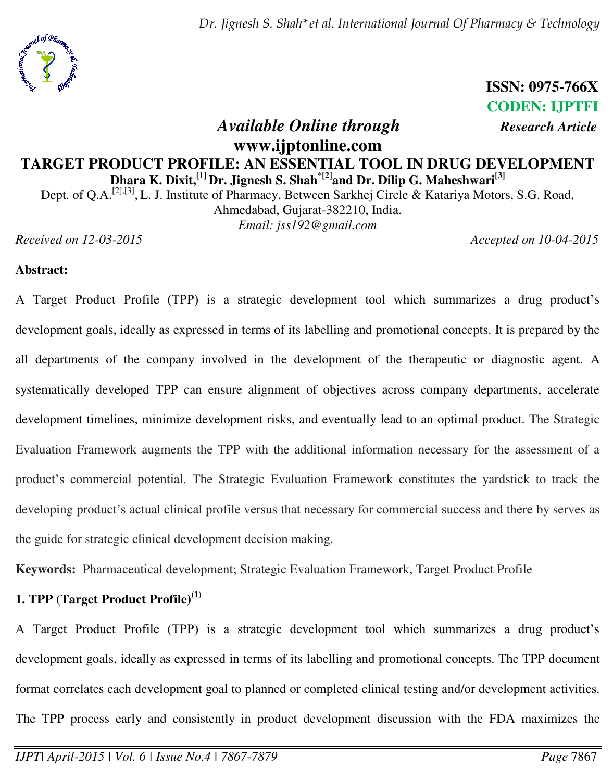

**ISSN: 0975-766X CODEN: IJPTFI** 

# *Available Online through Research Article* **www.ijptonline.com TARGET PRODUCT PROFILE: AN ESSENTIAL TOOL IN DRUG DEVELOPMENT Dhara K. Dixit,[1] Dr. Jignesh S. Shah\*[2]and Dr. Dilip G. Maheshwari[3]**

Dept. of Q.A.<sup>[2],[3]</sup>, L. J. Institute of Pharmacy, Between Sarkhej Circle & Katariya Motors, S.G. Road, Ahmedabad, Gujarat-382210, India.

*Email: jss192@gmail.com* 

*Received on 12-03-2015 Accepted on 10-04-2015*

### **Abstract:**

A Target Product Profile (TPP) is a strategic development tool which summarizes a drug product's development goals, ideally as expressed in terms of its labelling and promotional concepts. It is prepared by the all departments of the company involved in the development of the therapeutic or diagnostic agent. A systematically developed TPP can ensure alignment of objectives across company departments, accelerate development timelines, minimize development risks, and eventually lead to an optimal product. The Strategic Evaluation Framework augments the TPP with the additional information necessary for the assessment of a product's commercial potential. The Strategic Evaluation Framework constitutes the yardstick to track the developing product's actual clinical profile versus that necessary for commercial success and there by serves as the guide for strategic clinical development decision making.

**Keywords:** Pharmaceutical development; Strategic Evaluation Framework, Target Product Profile

## **1. TPP (Target Product Profile)(1)**

A Target Product Profile (TPP) is a strategic development tool which summarizes a drug product's development goals, ideally as expressed in terms of its labelling and promotional concepts. The TPP document format correlates each development goal to planned or completed clinical testing and/or development activities. The TPP process early and consistently in product development discussion with the FDA maximizes the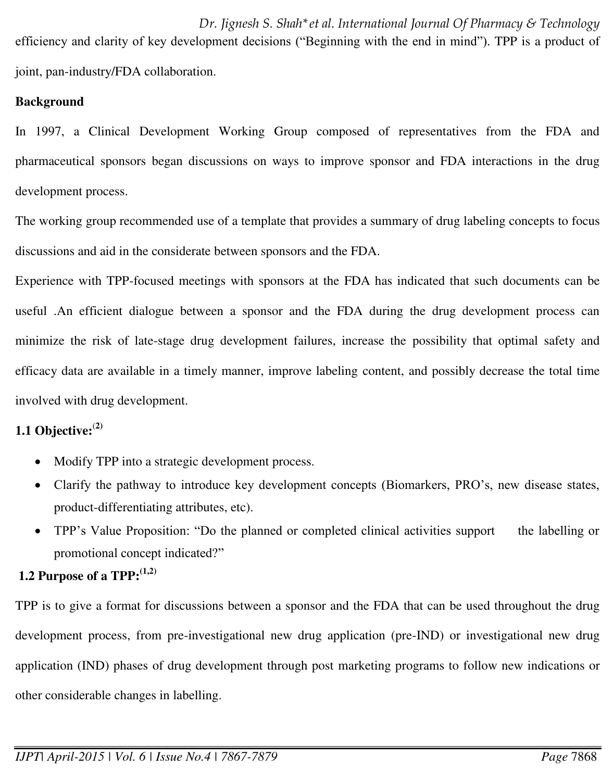*Dr. Jignesh S. Shah\*et al. International Journal Of Pharmacy & Technology* efficiency and clarity of key development decisions ("Beginning with the end in mind"). TPP is a product of joint, pan-industry/FDA collaboration.

## **Background**

In 1997, a Clinical Development Working Group composed of representatives from the FDA and pharmaceutical sponsors began discussions on ways to improve sponsor and FDA interactions in the drug development process.

The working group recommended use of a template that provides a summary of drug labeling concepts to focus discussions and aid in the considerate between sponsors and the FDA.

Experience with TPP-focused meetings with sponsors at the FDA has indicated that such documents can be useful .An efficient dialogue between a sponsor and the FDA during the drug development process can minimize the risk of late-stage drug development failures, increase the possibility that optimal safety and efficacy data are available in a timely manner, improve labeling content, and possibly decrease the total time involved with drug development.

# **1.1 Objective:**(**2)**

- Modify TPP into a strategic development process.
- Clarify the pathway to introduce key development concepts (Biomarkers, PRO's, new disease states, product-differentiating attributes, etc).
- TPP's Value Proposition: "Do the planned or completed clinical activities support the labelling or promotional concept indicated?"

# **1.2 Purpose of a TPP:(1,2)**

TPP is to give a format for discussions between a sponsor and the FDA that can be used throughout the drug development process, from pre-investigational new drug application (pre-IND) or investigational new drug application (IND) phases of drug development through post marketing programs to follow new indications or other considerable changes in labelling.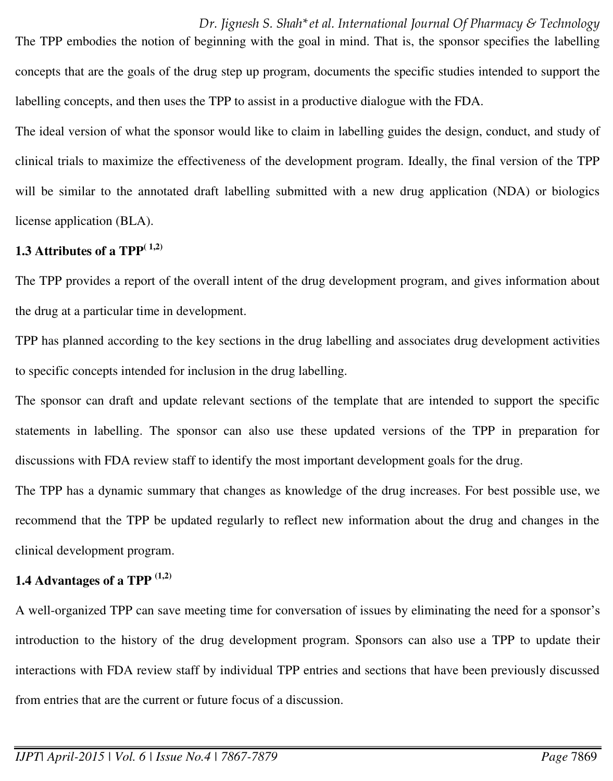The TPP embodies the notion of beginning with the goal in mind. That is, the sponsor specifies the labelling concepts that are the goals of the drug step up program, documents the specific studies intended to support the labelling concepts, and then uses the TPP to assist in a productive dialogue with the FDA.

The ideal version of what the sponsor would like to claim in labelling guides the design, conduct, and study of clinical trials to maximize the effectiveness of the development program. Ideally, the final version of the TPP will be similar to the annotated draft labelling submitted with a new drug application (NDA) or biologics license application (BLA).

#### **1.3 Attributes of a TPP** $^{(1,2)}$

The TPP provides a report of the overall intent of the drug development program, and gives information about the drug at a particular time in development.

TPP has planned according to the key sections in the drug labelling and associates drug development activities to specific concepts intended for inclusion in the drug labelling.

The sponsor can draft and update relevant sections of the template that are intended to support the specific statements in labelling. The sponsor can also use these updated versions of the TPP in preparation for discussions with FDA review staff to identify the most important development goals for the drug.

The TPP has a dynamic summary that changes as knowledge of the drug increases. For best possible use, we recommend that the TPP be updated regularly to reflect new information about the drug and changes in the clinical development program.

#### **1.4 Advantages of a TPP (1,2)**

A well-organized TPP can save meeting time for conversation of issues by eliminating the need for a sponsor's introduction to the history of the drug development program. Sponsors can also use a TPP to update their interactions with FDA review staff by individual TPP entries and sections that have been previously discussed from entries that are the current or future focus of a discussion.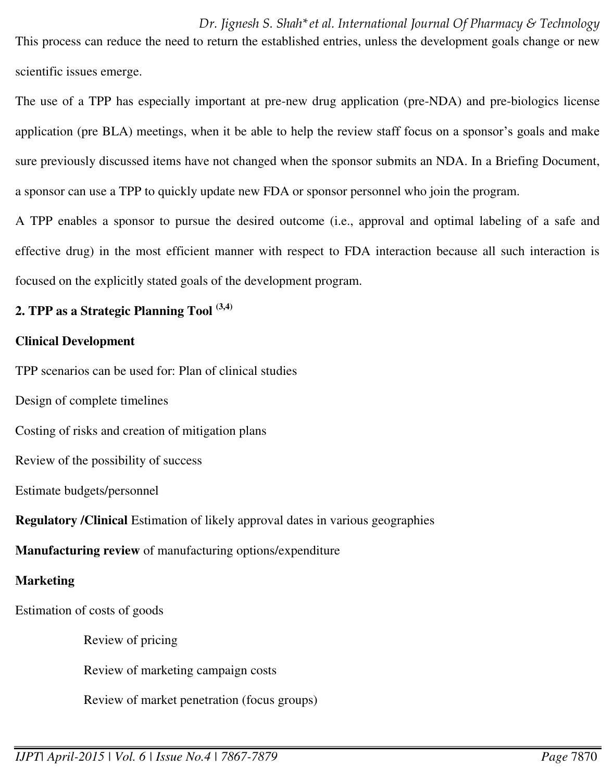This process can reduce the need to return the established entries, unless the development goals change or new scientific issues emerge.

The use of a TPP has especially important at pre-new drug application (pre-NDA) and pre-biologics license application (pre BLA) meetings, when it be able to help the review staff focus on a sponsor's goals and make sure previously discussed items have not changed when the sponsor submits an NDA. In a Briefing Document, a sponsor can use a TPP to quickly update new FDA or sponsor personnel who join the program.

A TPP enables a sponsor to pursue the desired outcome (i.e., approval and optimal labeling of a safe and effective drug) in the most efficient manner with respect to FDA interaction because all such interaction is focused on the explicitly stated goals of the development program.

## **2. TPP as a Strategic Planning Tool (3,4)**

### **Clinical Development**

TPP scenarios can be used for: Plan of clinical studies

Design of complete timelines

Costing of risks and creation of mitigation plans

Review of the possibility of success

Estimate budgets/personnel

**Regulatory /Clinical** Estimation of likely approval dates in various geographies

**Manufacturing review** of manufacturing options/expenditure

## **Marketing**

Estimation of costs of goods

Review of pricing

Review of marketing campaign costs

Review of market penetration (focus groups)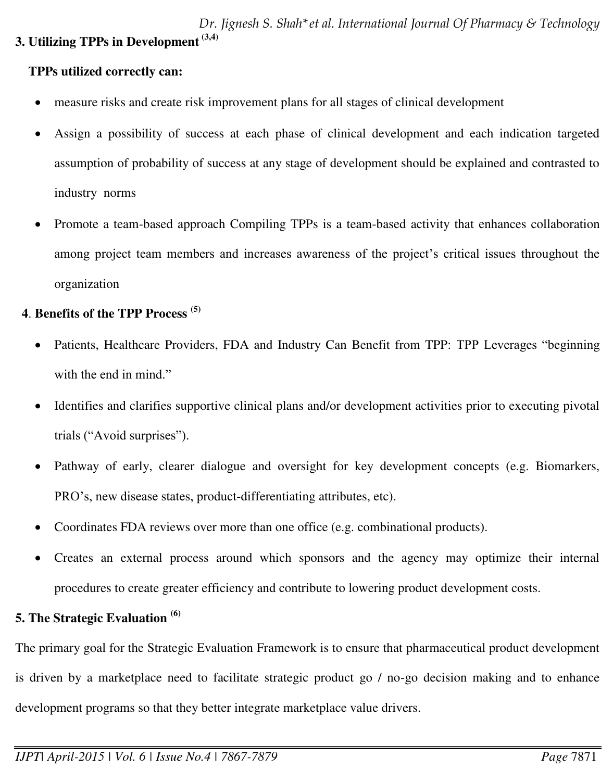## **TPPs utilized correctly can:**

- measure risks and create risk improvement plans for all stages of clinical development
- Assign a possibility of success at each phase of clinical development and each indication targeted assumption of probability of success at any stage of development should be explained and contrasted to industry norms
- Promote a team-based approach Compiling TPPs is a team-based activity that enhances collaboration among project team members and increases awareness of the project's critical issues throughout the organization

# **4**. **Benefits of the TPP Process (5)**

- Patients, Healthcare Providers, FDA and Industry Can Benefit from TPP: TPP Leverages "beginning with the end in mind."
- Identifies and clarifies supportive clinical plans and/or development activities prior to executing pivotal trials ("Avoid surprises").
- Pathway of early, clearer dialogue and oversight for key development concepts (e.g. Biomarkers, PRO's, new disease states, product-differentiating attributes, etc).
- Coordinates FDA reviews over more than one office (e.g. combinational products).
- Creates an external process around which sponsors and the agency may optimize their internal procedures to create greater efficiency and contribute to lowering product development costs.

# **5. The Strategic Evaluation (6)**

The primary goal for the Strategic Evaluation Framework is to ensure that pharmaceutical product development is driven by a marketplace need to facilitate strategic product go / no-go decision making and to enhance development programs so that they better integrate marketplace value drivers.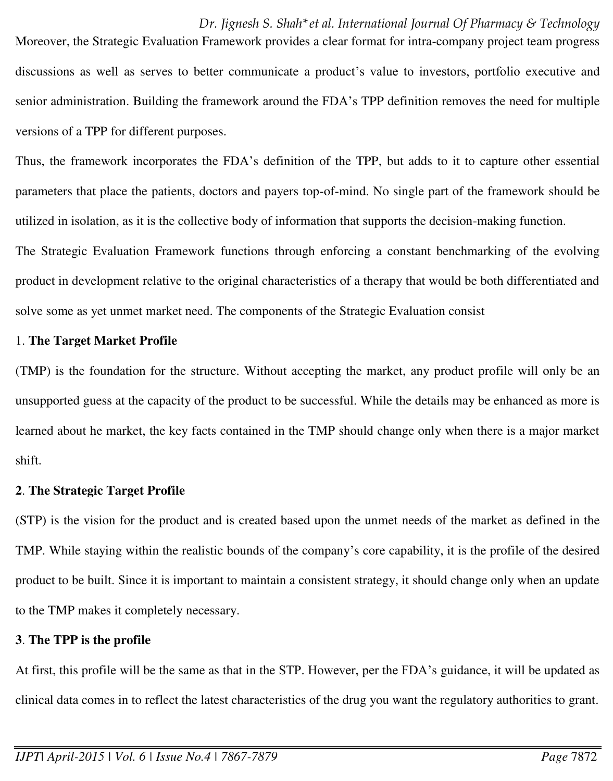Moreover, the Strategic Evaluation Framework provides a clear format for intra-company project team progress discussions as well as serves to better communicate a product's value to investors, portfolio executive and senior administration. Building the framework around the FDA's TPP definition removes the need for multiple versions of a TPP for different purposes.

Thus, the framework incorporates the FDA's definition of the TPP, but adds to it to capture other essential parameters that place the patients, doctors and payers top-of-mind. No single part of the framework should be utilized in isolation, as it is the collective body of information that supports the decision-making function.

The Strategic Evaluation Framework functions through enforcing a constant benchmarking of the evolving product in development relative to the original characteristics of a therapy that would be both differentiated and solve some as yet unmet market need. The components of the Strategic Evaluation consist

#### 1. **The Target Market Profile**

(TMP) is the foundation for the structure. Without accepting the market, any product profile will only be an unsupported guess at the capacity of the product to be successful. While the details may be enhanced as more is learned about he market, the key facts contained in the TMP should change only when there is a major market shift.

#### **2**. **The Strategic Target Profile**

(STP) is the vision for the product and is created based upon the unmet needs of the market as defined in the TMP. While staying within the realistic bounds of the company's core capability, it is the profile of the desired product to be built. Since it is important to maintain a consistent strategy, it should change only when an update to the TMP makes it completely necessary.

#### **3**. **The TPP is the profile**

At first, this profile will be the same as that in the STP. However, per the FDA's guidance, it will be updated as clinical data comes in to reflect the latest characteristics of the drug you want the regulatory authorities to grant.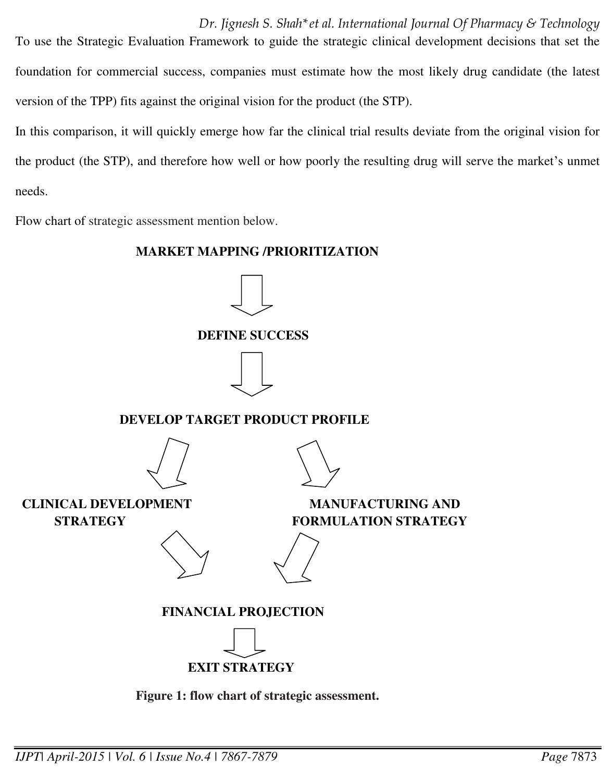*Dr. Jignesh S. Shah\*et al. International Journal Of Pharmacy & Technology* To use the Strategic Evaluation Framework to guide the strategic clinical development decisions that set the foundation for commercial success, companies must estimate how the most likely drug candidate (the latest version of the TPP) fits against the original vision for the product (the STP).

In this comparison, it will quickly emerge how far the clinical trial results deviate from the original vision for the product (the STP), and therefore how well or how poorly the resulting drug will serve the market's unmet needs.

Flow chart of strategic assessment mention below.

#### **MARKET MAPPING /PRIORITIZATION**



 **DEVELOP TARGET PRODUCT PROFILE** 





 **CLINICAL DEVELOPMENT MANUFACTURING AND** 

**STRATEGY FORMULATION STRATEGY** 



 **FINANCIAL PROJECTION** 



 **Figure 1: flow chart of strategic assessment.**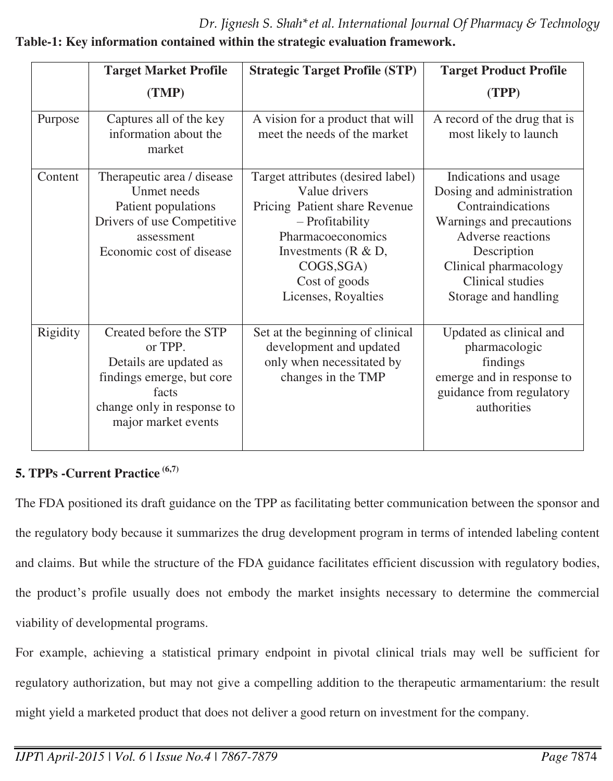*Dr. Jignesh S. Shah\*et al. International Journal Of Pharmacy & Technology*

|          | <b>Target Market Profile</b>                                                                                                                           | <b>Strategic Target Profile (STP)</b>                                                                                                                                                                        | <b>Target Product Profile</b>                                                                                                                                                                                |
|----------|--------------------------------------------------------------------------------------------------------------------------------------------------------|--------------------------------------------------------------------------------------------------------------------------------------------------------------------------------------------------------------|--------------------------------------------------------------------------------------------------------------------------------------------------------------------------------------------------------------|
|          | (TMP)                                                                                                                                                  |                                                                                                                                                                                                              | (TPP)                                                                                                                                                                                                        |
| Purpose  | Captures all of the key<br>information about the<br>market                                                                                             | A vision for a product that will<br>meet the needs of the market                                                                                                                                             | A record of the drug that is<br>most likely to launch                                                                                                                                                        |
| Content  | Therapeutic area / disease<br>Unmet needs<br>Patient populations<br>Drivers of use Competitive<br>assessment<br>Economic cost of disease               | Target attributes (desired label)<br>Value drivers<br>Pricing Patient share Revenue<br>- Profitability<br>Pharmacoeconomics<br>Investments ( $R & D$ ,<br>COGS, SGA)<br>Cost of goods<br>Licenses, Royalties | Indications and usage<br>Dosing and administration<br>Contraindications<br>Warnings and precautions<br>Adverse reactions<br>Description<br>Clinical pharmacology<br>Clinical studies<br>Storage and handling |
| Rigidity | Created before the STP<br>or TPP.<br>Details are updated as<br>findings emerge, but core<br>facts<br>change only in response to<br>major market events | Set at the beginning of clinical<br>development and updated<br>only when necessitated by<br>changes in the TMP                                                                                               | Updated as clinical and<br>pharmacologic<br>findings<br>emerge and in response to<br>guidance from regulatory<br>authorities                                                                                 |

# **Table-1: Key information contained within the strategic evaluation framework.**

# **5. TPPs -Current Practice (6,7)**

The FDA positioned its draft guidance on the TPP as facilitating better communication between the sponsor and the regulatory body because it summarizes the drug development program in terms of intended labeling content and claims. But while the structure of the FDA guidance facilitates efficient discussion with regulatory bodies, the product's profile usually does not embody the market insights necessary to determine the commercial viability of developmental programs.

For example, achieving a statistical primary endpoint in pivotal clinical trials may well be sufficient for regulatory authorization, but may not give a compelling addition to the therapeutic armamentarium: the result might yield a marketed product that does not deliver a good return on investment for the company.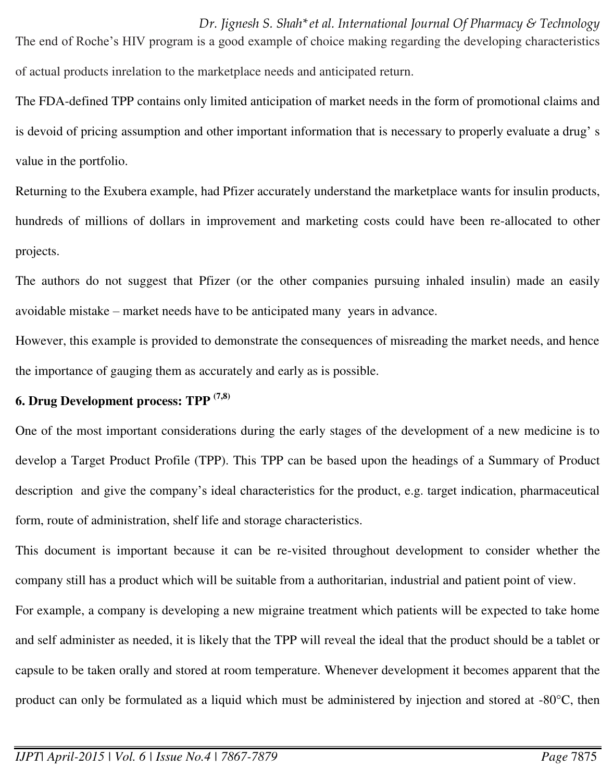*Dr. Jignesh S. Shah\*et al. International Journal Of Pharmacy & Technology* The end of Roche's HIV program is a good example of choice making regarding the developing characteristics of actual products inrelation to the marketplace needs and anticipated return.

The FDA-defined TPP contains only limited anticipation of market needs in the form of promotional claims and is devoid of pricing assumption and other important information that is necessary to properly evaluate a drug' s value in the portfolio.

Returning to the Exubera example, had Pfizer accurately understand the marketplace wants for insulin products, hundreds of millions of dollars in improvement and marketing costs could have been re-allocated to other projects.

The authors do not suggest that Pfizer (or the other companies pursuing inhaled insulin) made an easily avoidable mistake – market needs have to be anticipated many years in advance.

However, this example is provided to demonstrate the consequences of misreading the market needs, and hence the importance of gauging them as accurately and early as is possible.

#### **6. Drug Development process: TPP (7,8)**

One of the most important considerations during the early stages of the development of a new medicine is to develop a Target Product Profile (TPP). This TPP can be based upon the headings of a Summary of Product description and give the company's ideal characteristics for the product, e.g. target indication, pharmaceutical form, route of administration, shelf life and storage characteristics.

This document is important because it can be re-visited throughout development to consider whether the company still has a product which will be suitable from a authoritarian, industrial and patient point of view.

For example, a company is developing a new migraine treatment which patients will be expected to take home and self administer as needed, it is likely that the TPP will reveal the ideal that the product should be a tablet or capsule to be taken orally and stored at room temperature. Whenever development it becomes apparent that the product can only be formulated as a liquid which must be administered by injection and stored at -80°C, then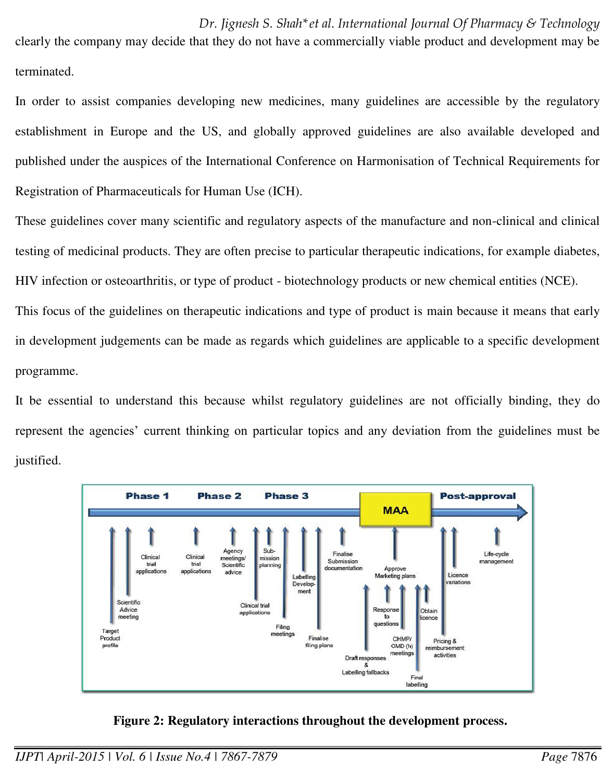*Dr. Jignesh S. Shah\*et al. International Journal Of Pharmacy & Technology* clearly the company may decide that they do not have a commercially viable product and development may be terminated.

In order to assist companies developing new medicines, many guidelines are accessible by the regulatory establishment in Europe and the US, and globally approved guidelines are also available developed and published under the auspices of the International Conference on Harmonisation of Technical Requirements for Registration of Pharmaceuticals for Human Use (ICH).

These guidelines cover many scientific and regulatory aspects of the manufacture and non-clinical and clinical testing of medicinal products. They are often precise to particular therapeutic indications, for example diabetes, HIV infection or osteoarthritis, or type of product - biotechnology products or new chemical entities (NCE).

This focus of the guidelines on therapeutic indications and type of product is main because it means that early in development judgements can be made as regards which guidelines are applicable to a specific development programme.

It be essential to understand this because whilst regulatory guidelines are not officially binding, they do represent the agencies' current thinking on particular topics and any deviation from the guidelines must be justified.



 **Figure 2: Regulatory interactions throughout the development process.**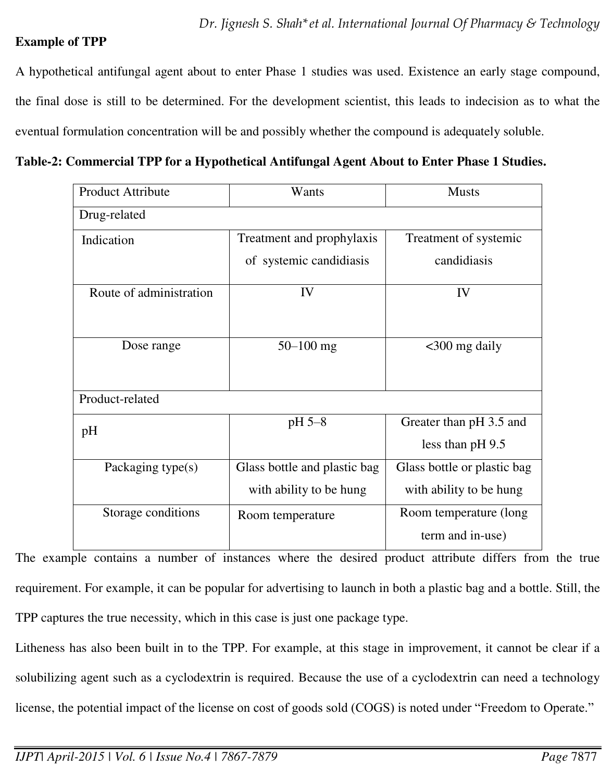## **Example of TPP**

A hypothetical antifungal agent about to enter Phase 1 studies was used. Existence an early stage compound, the final dose is still to be determined. For the development scientist, this leads to indecision as to what the eventual formulation concentration will be and possibly whether the compound is adequately soluble.

**Table-2: Commercial TPP for a Hypothetical Antifungal Agent About to Enter Phase 1 Studies.** 

| <b>Product Attribute</b> | Wants                        | <b>Musts</b>                |  |  |
|--------------------------|------------------------------|-----------------------------|--|--|
| Drug-related             |                              |                             |  |  |
| Indication               | Treatment and prophylaxis    | Treatment of systemic       |  |  |
|                          | of systemic candidiasis      | candidiasis                 |  |  |
| Route of administration  | IV                           | IV                          |  |  |
| Dose range               | $50 - 100$ mg                | $<$ 300 mg daily            |  |  |
| Product-related          |                              |                             |  |  |
| pH                       | pH 5-8                       | Greater than pH 3.5 and     |  |  |
|                          |                              | less than $pH$ 9.5          |  |  |
| Packaging type(s)        | Glass bottle and plastic bag | Glass bottle or plastic bag |  |  |
|                          | with ability to be hung      | with ability to be hung     |  |  |
| Storage conditions       | Room temperature             | Room temperature (long      |  |  |
|                          |                              | term and in-use)            |  |  |

The example contains a number of instances where the desired product attribute differs from the true requirement. For example, it can be popular for advertising to launch in both a plastic bag and a bottle. Still, the TPP captures the true necessity, which in this case is just one package type.

Litheness has also been built in to the TPP. For example, at this stage in improvement, it cannot be clear if a solubilizing agent such as a cyclodextrin is required. Because the use of a cyclodextrin can need a technology license, the potential impact of the license on cost of goods sold (COGS) is noted under "Freedom to Operate."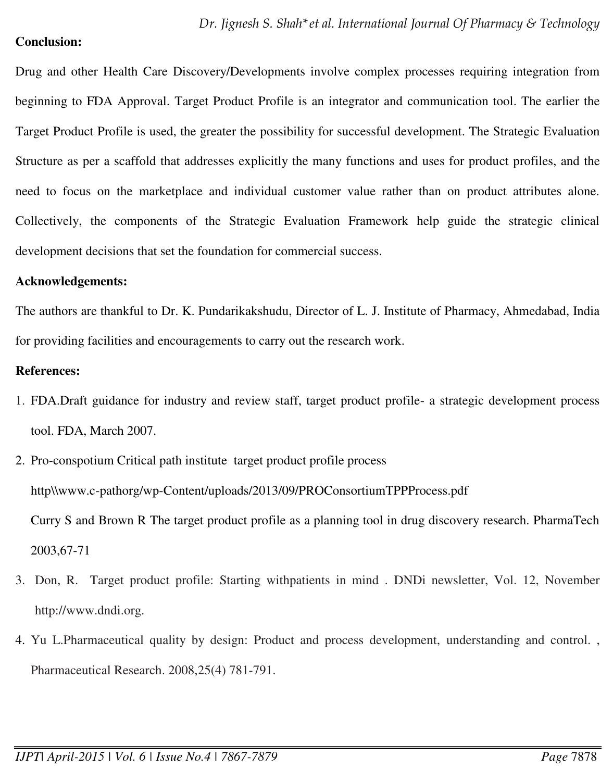#### **Conclusion:**

Drug and other Health Care Discovery/Developments involve complex processes requiring integration from beginning to FDA Approval. Target Product Profile is an integrator and communication tool. The earlier the Target Product Profile is used, the greater the possibility for successful development. The Strategic Evaluation Structure as per a scaffold that addresses explicitly the many functions and uses for product profiles, and the need to focus on the marketplace and individual customer value rather than on product attributes alone. Collectively, the components of the Strategic Evaluation Framework help guide the strategic clinical development decisions that set the foundation for commercial success.

#### **Acknowledgements:**

The authors are thankful to Dr. K. Pundarikakshudu, Director of L. J. Institute of Pharmacy, Ahmedabad, India for providing facilities and encouragements to carry out the research work.

## **References:**

- 1. FDA.Draft guidance for industry and review staff, target product profile- a strategic development process tool. FDA, March 2007.
- 2. Pro-conspotium Critical path institute target product profile process http\\www.c-pathorg/wp-Content/uploads/2013/09/PROConsortiumTPPProcess.pdf Curry S and Brown R The target product profile as a planning tool in drug discovery research. PharmaTech 2003,67-71
- 3. Don, R. Target product profile: Starting withpatients in mind . DNDi newsletter, Vol. 12, November http://www.dndi.org.
- 4. Yu L.Pharmaceutical quality by design: Product and process development, understanding and control. , Pharmaceutical Research. 2008,25(4) 781-791.